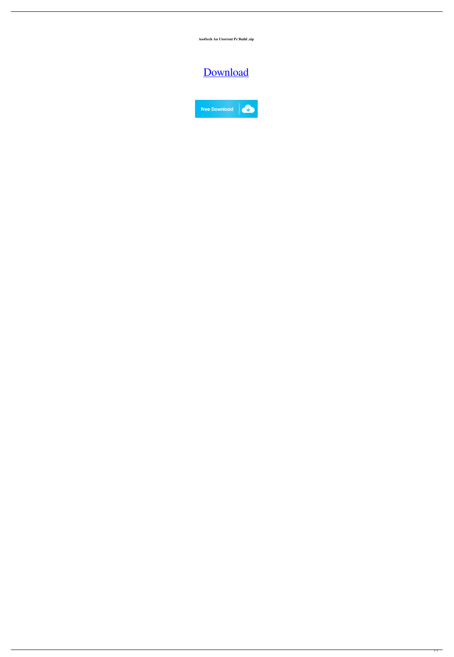**Asoftech Au Utorrent Pc Build .zip**

## [Download](http://evacdir.com/ZG93bmxvYWR8c1k2TW5kcWNueDhNVFkxTWpjME1EZzJObng4TWpVM05IeDhLRTBwSUhKbFlXUXRZbXh2WnlCYlJtRnpkQ0JIUlU1ZA/bloody?inborn=confiserie/curriculae&interrelationship=YXNvZnRlY2ggYXV0b21hdGlvbiBjcmFjayBzZXJpYWwgMTEYXN&safest=)

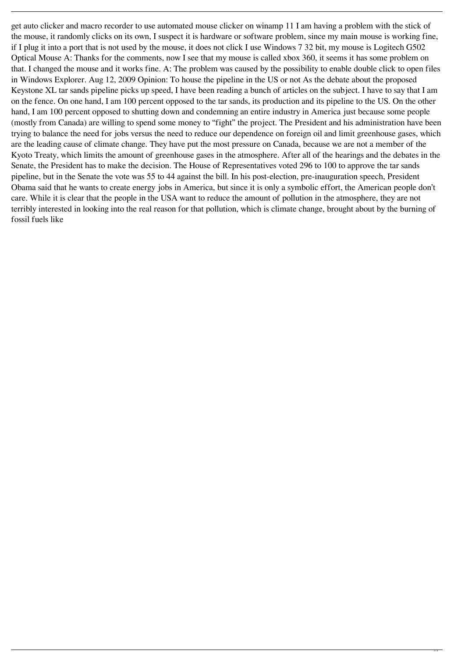get auto clicker and macro recorder to use automated mouse clicker on winamp 11 I am having a problem with the stick of the mouse, it randomly clicks on its own, I suspect it is hardware or software problem, since my main mouse is working fine, if I plug it into a port that is not used by the mouse, it does not click I use Windows 7 32 bit, my mouse is Logitech G502 Optical Mouse A: Thanks for the comments, now I see that my mouse is called xbox 360, it seems it has some problem on that. I changed the mouse and it works fine. A: The problem was caused by the possibility to enable double click to open files in Windows Explorer. Aug 12, 2009 Opinion: To house the pipeline in the US or not As the debate about the proposed Keystone XL tar sands pipeline picks up speed, I have been reading a bunch of articles on the subject. I have to say that I am on the fence. On one hand, I am 100 percent opposed to the tar sands, its production and its pipeline to the US. On the other hand, I am 100 percent opposed to shutting down and condemning an entire industry in America just because some people (mostly from Canada) are willing to spend some money to "fight" the project. The President and his administration have been trying to balance the need for jobs versus the need to reduce our dependence on foreign oil and limit greenhouse gases, which are the leading cause of climate change. They have put the most pressure on Canada, because we are not a member of the Kyoto Treaty, which limits the amount of greenhouse gases in the atmosphere. After all of the hearings and the debates in the Senate, the President has to make the decision. The House of Representatives voted 296 to 100 to approve the tar sands pipeline, but in the Senate the vote was 55 to 44 against the bill. In his post-election, pre-inauguration speech, President Obama said that he wants to create energy jobs in America, but since it is only a symbolic effort, the American people don't care. While it is clear that the people in the USA want to reduce the amount of pollution in the atmosphere, they are not terribly interested in looking into the real reason for that pollution, which is climate change, brought about by the burning of fossil fuels like